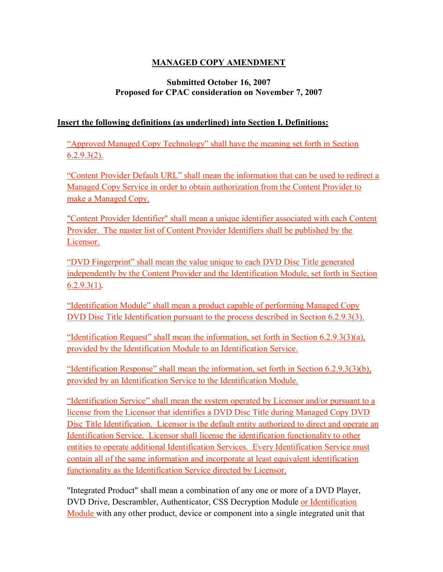# **MANAGED COPY AMENDMENT**

## **Submitted October 16, 2007 Proposed for CPAC consideration on November 7, 2007**

## **Insert the following definitions (as underlined) into Section I. Definitions:**

"Approved Managed Copy Technology" shall have the meaning set forth in Section  $6.2.9.3(2)$ .

"Content Provider Default URL" shall mean the information that can be used to redirect a Managed Copy Service in order to obtain authorization from the Content Provider to make a Managed Copy.

"Content Provider Identifier" shall mean a unique identifier associated with each Content Provider. The master list of Content Provider Identifiers shall be published by the Licensor.

"DVD Fingerprint" shall mean the value unique to each DVD Disc Title generated independently by the Content Provider and the Identification Module, set forth in Section  $6.2.9.3(1)$ .

"Identification Module" shall mean a product capable of performing Managed Copy DVD Disc Title Identification pursuant to the process described in Section 6.2.9.3(3).

"Identification Request" shall mean the information, set forth in Section  $6.2.9.3(3)(a)$ , provided by the Identification Module to an Identification Service.

"Identification Response" shall mean the information, set forth in Section 6.2.9.3(3)(b), provided by an Identification Service to the Identification Module.

"Identification Service" shall mean the system operated by Licensor and/or pursuant to a license from the Licensor that identifies a DVD Disc Title during Managed Copy DVD Disc Title Identification. Licensor is the default entity authorized to direct and operate an Identification Service. Licensor shall license the identification functionality to other entities to operate additional Identification Services. Every Identification Service must contain all of the same information and incorporate at least equivalent identification functionality as the Identification Service directed by Licensor.

"Integrated Product" shall mean a combination of any one or more of a DVD Player, DVD Drive, Descrambler, Authenticator, CSS Decryption Module or Identification Module with any other product, device or component into a single integrated unit that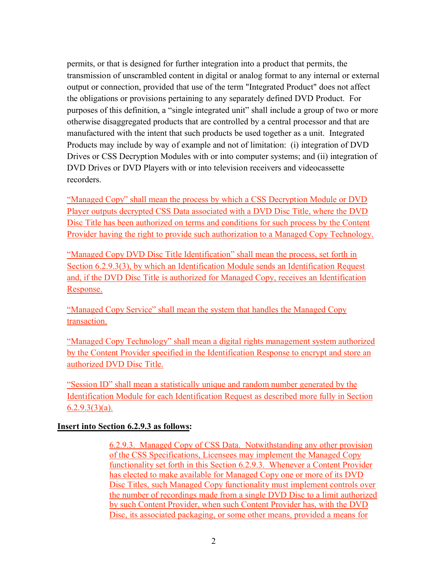permits, or that is designed for further integration into a product that permits, the transmission of unscrambled content in digital or analog format to any internal or external output or connection, provided that use of the term "Integrated Product" does not affect the obligations or provisions pertaining to any separately defined DVD Product. For purposes of this definition, a "single integrated unit" shall include a group of two or more otherwise disaggregated products that are controlled by a central processor and that are manufactured with the intent that such products be used together as a unit. Integrated Products may include by way of example and not of limitation: (i) integration of DVD Drives or CSS Decryption Modules with or into computer systems; and (ii) integration of DVD Drives or DVD Players with or into television receivers and videocassette recorders.

"Managed Copy" shall mean the process by which a CSS Decryption Module or DVD Player outputs decrypted CSS Data associated with a DVD Disc Title, where the DVD Disc Title has been authorized on terms and conditions for such process by the Content Provider having the right to provide such authorization to a Managed Copy Technology.

"Managed Copy DVD Disc Title Identification" shall mean the process, set forth in Section 6.2.9.3(3), by which an Identification Module sends an Identification Request and, if the DVD Disc Title is authorized for Managed Copy, receives an Identification Response.

"Managed Copy Service" shall mean the system that handles the Managed Copy transaction.

"Managed Copy Technology" shall mean a digital rights management system authorized by the Content Provider specified in the Identification Response to encrypt and store an authorized DVD Disc Title.

"Session ID" shall mean a statistically unique and random number generated by the Identification Module for each Identification Request as described more fully in Section  $6.2.9.3(3)(a)$ .

#### **Insert into Section 6.2.9.3 as follows:**

6.2.9.3. Managed Copy of CSS Data. Notwithstanding any other provision of the CSS Specifications, Licensees may implement the Managed Copy functionality set forth in this Section 6.2.9.3. Whenever a Content Provider has elected to make available for Managed Copy one or more of its DVD Disc Titles, such Managed Copy functionality must implement controls over the number of recordings made from a single DVD Disc to a limit authorized by such Content Provider, when such Content Provider has, with the DVD Disc, its associated packaging, or some other means, provided a means for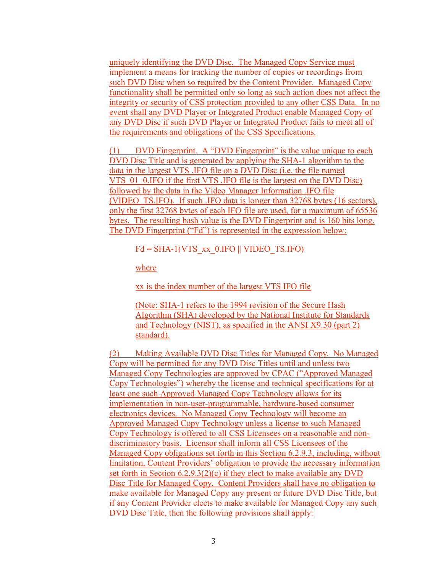uniquely identifying the DVD Disc. The Managed Copy Service must implement a means for tracking the number of copies or recordings from such DVD Disc when so required by the Content Provider. Managed Copy functionality shall be permitted only so long as such action does not affect the integrity or security of CSS protection provided to any other CSS Data. In no event shall any DVD Player or Integrated Product enable Managed Copy of any DVD Disc if such DVD Player or Integrated Product fails to meet all of the requirements and obligations of the CSS Specifications.

(1) DVD Fingerprint. A "DVD Fingerprint" is the value unique to each DVD Disc Title and is generated by applying the SHA-1 algorithm to the data in the largest VTS .IFO file on a DVD Disc (i.e. the file named VTS 01 0.IFO if the first VTS .IFO file is the largest on the DVD Disc) followed by the data in the Video Manager Information .IFO file (VIDEO\_TS.IFO). If such .IFO data is longer than 32768 bytes (16 sectors), only the first 32768 bytes of each IFO file are used, for a maximum of 65536 bytes. The resulting hash value is the DVD Fingerprint and is 160 bits long. The DVD Fingerprint ("Fd") is represented in the expression below:

### $Fd = SHA-1(VTS$  xx  $0.IFO || VIDEO TS.IFO)$

where

xx is the index number of the largest VTS IFO file

(Note: SHA-1 refers to the 1994 revision of the Secure Hash Algorithm (SHA) developed by the National Institute for Standards and Technology (NIST), as specified in the ANSI X9.30 (part 2) standard).

(2) Making Available DVD Disc Titles for Managed Copy. No Managed Copy will be permitted for any DVD Disc Titles until and unless two Managed Copy Technologies are approved by CPAC ("Approved Managed Copy Technologies") whereby the license and technical specifications for at least one such Approved Managed Copy Technology allows for its implementation in non-user-programmable, hardware-based consumer electronics devices. No Managed Copy Technology will become an Approved Managed Copy Technology unless a license to such Managed Copy Technology is offered to all CSS Licensees on a reasonable and nondiscriminatory basis. Licensor shall inform all CSS Licensees of the Managed Copy obligations set forth in this Section 6.2.9.3, including, without limitation, Content Providers' obligation to provide the necessary information set forth in Section 6.2.9.3(2)(c) if they elect to make available any DVD Disc Title for Managed Copy. Content Providers shall have no obligation to make available for Managed Copy any present or future DVD Disc Title, but if any Content Provider elects to make available for Managed Copy any such DVD Disc Title, then the following provisions shall apply: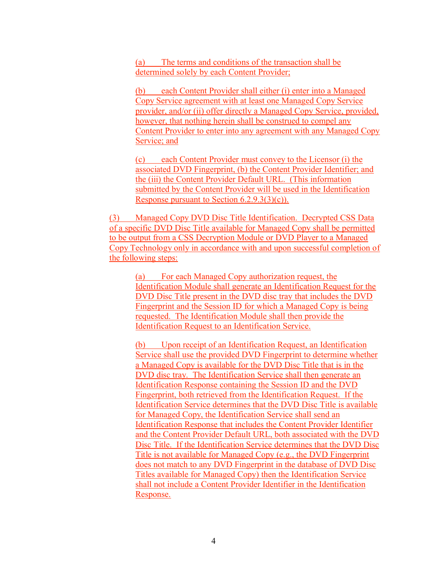(a) The terms and conditions of the transaction shall be determined solely by each Content Provider;

(b) each Content Provider shall either (i) enter into a Managed Copy Service agreement with at least one Managed Copy Service provider, and/or (ii) offer directly a Managed Copy Service, provided, however, that nothing herein shall be construed to compel any Content Provider to enter into any agreement with any Managed Copy Service; and

(c) each Content Provider must convey to the Licensor (i) the associated DVD Fingerprint, (b) the Content Provider Identifier; and the (iii) the Content Provider Default URL. (This information submitted by the Content Provider will be used in the Identification Response pursuant to Section 6.2.9.3(3)(c)).

(3) Managed Copy DVD Disc Title Identification. Decrypted CSS Data of a specific DVD Disc Title available for Managed Copy shall be permitted to be output from a CSS Decryption Module or DVD Player to a Managed Copy Technology only in accordance with and upon successful completion of the following steps:

(a) For each Managed Copy authorization request, the Identification Module shall generate an Identification Request for the DVD Disc Title present in the DVD disc tray that includes the DVD Fingerprint and the Session ID for which a Managed Copy is being requested. The Identification Module shall then provide the Identification Request to an Identification Service.

(b) Upon receipt of an Identification Request, an Identification Service shall use the provided DVD Fingerprint to determine whether a Managed Copy is available for the DVD Disc Title that is in the DVD disc tray. The Identification Service shall then generate an Identification Response containing the Session ID and the DVD Fingerprint, both retrieved from the Identification Request. If the Identification Service determines that the DVD Disc Title is available for Managed Copy, the Identification Service shall send an Identification Response that includes the Content Provider Identifier and the Content Provider Default URL, both associated with the DVD Disc Title. If the Identification Service determines that the DVD Disc Title is not available for Managed Copy (e.g., the DVD Fingerprint does not match to any DVD Fingerprint in the database of DVD Disc Titles available for Managed Copy) then the Identification Service shall not include a Content Provider Identifier in the Identification Response.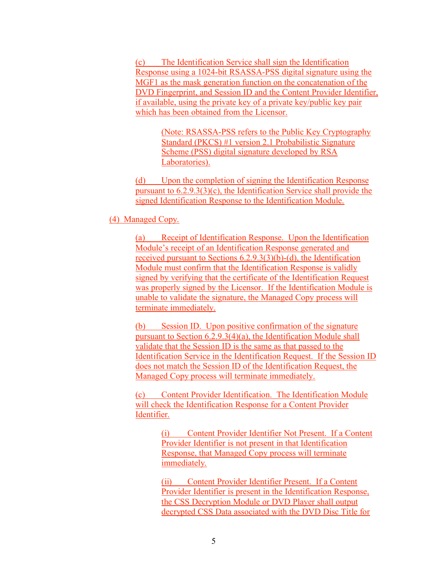(c) The Identification Service shall sign the Identification Response using a 1024-bit RSASSA-PSS digital signature using the MGF1 as the mask generation function on the concatenation of the DVD Fingerprint, and Session ID and the Content Provider Identifier, if available, using the private key of a private key/public key pair which has been obtained from the Licensor.

> (Note: RSASSA-PSS refers to the Public Key Cryptography Standard (PKCS) #1 version 2.1 Probabilistic Signature Scheme (PSS) digital signature developed by RSA Laboratories).

(d) Upon the completion of signing the Identification Response pursuant to 6.2.9.3(3)(c), the Identification Service shall provide the signed Identification Response to the Identification Module.

(4) Managed Copy.

(a) Receipt of Identification Response. Upon the Identification Module's receipt of an Identification Response generated and received pursuant to Sections 6.2.9.3(3)(b)-(d), the Identification Module must confirm that the Identification Response is validly signed by verifying that the certificate of the Identification Request was properly signed by the Licensor. If the Identification Module is unable to validate the signature, the Managed Copy process will terminate immediately.

(b) Session ID. Upon positive confirmation of the signature pursuant to Section 6.2.9.3(4)(a), the Identification Module shall validate that the Session ID is the same as that passed to the Identification Service in the Identification Request. If the Session ID does not match the Session ID of the Identification Request, the Managed Copy process will terminate immediately.

(c) Content Provider Identification. The Identification Module will check the Identification Response for a Content Provider Identifier.

> (i) Content Provider Identifier Not Present. If a Content Provider Identifier is not present in that Identification Response, that Managed Copy process will terminate immediately.

(ii) Content Provider Identifier Present. If a Content Provider Identifier is present in the Identification Response, the CSS Decryption Module or DVD Player shall output decrypted CSS Data associated with the DVD Disc Title for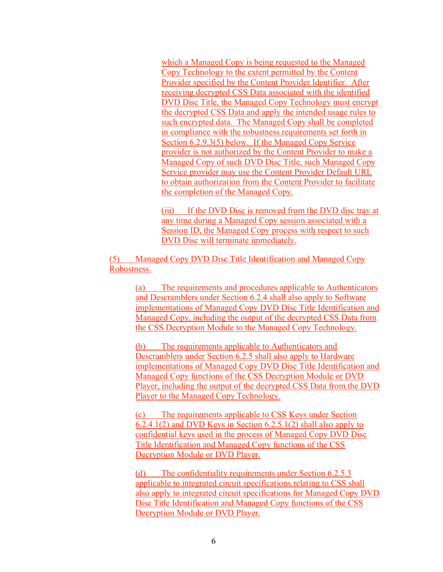which a Managed Copy is being requested to the Managed Copy Technology to the extent permitted by the Content Provider specified by the Content Provider Identifier. After receiving decrypted CSS Data associated with the identified DVD Disc Title, the Managed Copy Technology must encrypt the decrypted CSS Data and apply the intended usage rules to such encrypted data. The Managed Copy shall be completed in compliance with the robustness requirements set forth in Section 6.2.9.3(5) below. If the Managed Copy Service provider is not authorized by the Content Provider to make a Managed Copy of such DVD Disc Title, such Managed Copy Service provider may use the Content Provider Default URL to obtain authorization from the Content Provider to facilitate the completion of the Managed Copy.

(iii) If the DVD Disc is removed from the DVD disc tray at any time during a Managed Copy session associated with a Session ID, the Managed Copy process with respect to such DVD Disc will terminate immediately.

(5) Managed Copy DVD Disc Title Identification and Managed Copy Robustness.

> (a) The requirements and procedures applicable to Authenticators and Descramblers under Section 6.2.4 shall also apply to Software implementations of Managed Copy DVD Disc Title Identification and Managed Copy, including the output of the decrypted CSS Data from the CSS Decryption Module to the Managed Copy Technology.

> (b) The requirements applicable to Authenticators and Descramblers under Section 6.2.5 shall also apply to Hardware implementations of Managed Copy DVD Disc Title Identification and Managed Copy functions of the CSS Decryption Module or DVD Player, including the output of the decrypted CSS Data from the DVD Player to the Managed Copy Technology.

(c) The requirements applicable to CSS Keys under Section 6.2.4.1(2) and DVD Keys in Section 6.2.5.1(2) shall also apply to confidential keys used in the process of Managed Copy DVD Disc Title Identification and Managed Copy functions of the CSS Decryption Module or DVD Player.

(d) The confidentiality requirements under Section 6.2.5.3 applicable to integrated circuit specifications relating to CSS shall also apply to integrated circuit specifications for Managed Copy DVD Disc Title Identification and Managed Copy functions of the CSS Decryption Module or DVD Player.